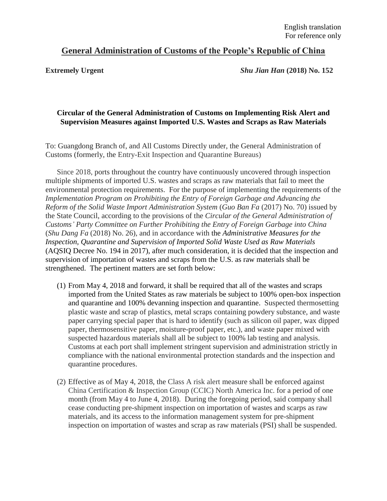## **General Administration of Customs of the People's Republic of China**

**Extremely Urgent** *Shu Jian Han* **(2018) No. 152**

## **Circular of the General Administration of Customs on Implementing Risk Alert and Supervision Measures against Imported U.S. Wastes and Scraps as Raw Materials**

To: Guangdong Branch of, and All Customs Directly under, the General Administration of Customs (formerly, the Entry-Exit Inspection and Quarantine Bureaus)

Since 2018, ports throughout the country have continuously uncovered through inspection multiple shipments of imported U.S. wastes and scraps as raw materials that fail to meet the environmental protection requirements. For the purpose of implementing the requirements of the *Implementation Program on Prohibiting the Entry of Foreign Garbage and Advancing the Reform of the Solid Waste Import Administration System* (*Guo Ban Fa* (2017) No. 70) issued by the State Council, according to the provisions of the *Circular of the General Administration of Customs' Party Committee on Further Prohibiting the Entry of Foreign Garbage into China* (*Shu Dang Fa* (2018) No. 26)*,* and in accordance with the *Administrative Measures for the Inspection, Quarantine and Supervision of Imported Solid Waste Used as Raw Materials* (AQSIQ Decree No. 194 in 2017), after much consideration, it is decided that the inspection and supervision of importation of wastes and scraps from the U.S. as raw materials shall be strengthened. The pertinent matters are set forth below:

- (1) From May 4, 2018 and forward, it shall be required that all of the wastes and scraps imported from the United States as raw materials be subject to 100% open-box inspection and quarantine and 100% devanning inspection and quarantine. Suspected thermosetting plastic waste and scrap of plastics, metal scraps containing powdery substance, and waste paper carrying special paper that is hard to identify (such as silicon oil paper, wax dipped paper, thermosensitive paper, moisture-proof paper, etc.), and waste paper mixed with suspected hazardous materials shall all be subject to 100% lab testing and analysis. Customs at each port shall implement stringent supervision and administration strictly in compliance with the national environmental protection standards and the inspection and quarantine procedures.
- (2) Effective as of May 4, 2018, the Class A risk alert measure shall be enforced against China Certification & Inspection Group (CCIC) North America Inc. for a period of one month (from May 4 to June 4, 2018). During the foregoing period, said company shall cease conducting pre-shipment inspection on importation of wastes and scarps as raw materials, and its access to the information management system for pre-shipment inspection on importation of wastes and scrap as raw materials (PSI) shall be suspended.